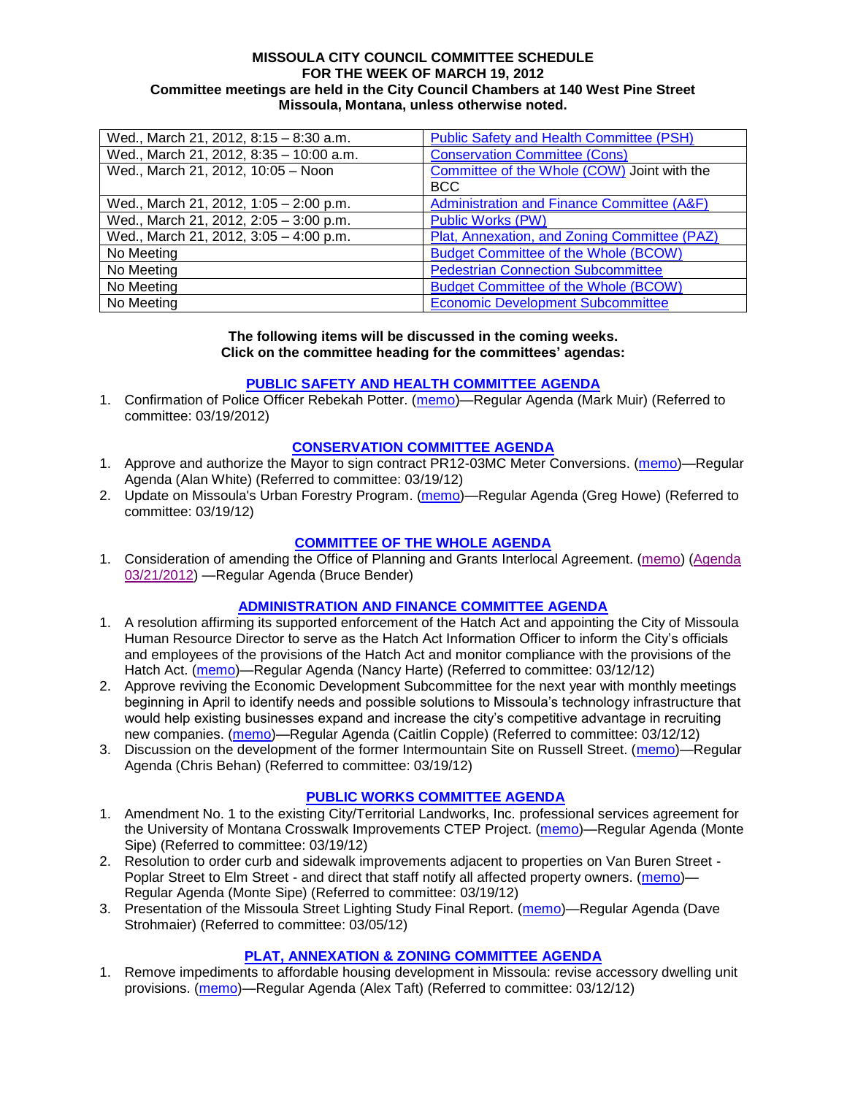#### **MISSOULA CITY COUNCIL COMMITTEE SCHEDULE FOR THE WEEK OF MARCH 19, 2012 Committee meetings are held in the City Council Chambers at 140 West Pine Street Missoula, Montana, unless otherwise noted.**

| Wed., March 21, 2012, 8:15 - 8:30 a.m.  | <b>Public Safety and Health Committee (PSH)</b> |
|-----------------------------------------|-------------------------------------------------|
| Wed., March 21, 2012, 8:35 - 10:00 a.m. | <b>Conservation Committee (Cons)</b>            |
| Wed., March 21, 2012, 10:05 - Noon      | Committee of the Whole (COW) Joint with the     |
|                                         | <b>BCC</b>                                      |
| Wed., March 21, 2012, 1:05 - 2:00 p.m.  | Administration and Finance Committee (A&F)      |
| Wed., March 21, 2012, 2:05 - 3:00 p.m.  | <b>Public Works (PW)</b>                        |
| Wed., March 21, 2012, 3:05 - 4:00 p.m.  | Plat, Annexation, and Zoning Committee (PAZ)    |
| No Meeting                              | <b>Budget Committee of the Whole (BCOW)</b>     |
| No Meeting                              | <b>Pedestrian Connection Subcommittee</b>       |
| No Meeting                              | <b>Budget Committee of the Whole (BCOW)</b>     |
| No Meeting                              | <b>Economic Development Subcommittee</b>        |

#### **The following items will be discussed in the coming weeks. Click on the committee heading for the committees' agendas:**

## **[PUBLIC SAFETY AND HEALTH COMMITTEE](http://www.ci.missoula.mt.us/DocumentCenterii.aspx?FID=836) AGENDA**

1. Confirmation of Police Officer Rebekah Potter. [\(memo\)](http://www.ci.missoula.mt.us/DocumentView.aspx?DID=8488)—Regular Agenda (Mark Muir) (Referred to committee: 03/19/2012)

#### **[CONSERVATION COMMITTEE](http://www.ci.missoula.mt.us/DocumentCenterii.aspx?FID=832) AGENDA**

- 1. Approve and authorize the Mayor to sign contract PR12-03MC Meter Conversions. [\(memo\)](http://www.ci.missoula.mt.us/DocumentView.aspx?DID=8486)—Regular Agenda (Alan White) (Referred to committee: 03/19/12)
- 2. Update on Missoula's Urban Forestry Program. [\(memo\)](http://www.ci.missoula.mt.us/DocumentView.aspx?DID=8487)—Regular Agenda (Greg Howe) (Referred to committee: 03/19/12)

### **[COMMITTEE OF THE WHOLE AGENDA](http://www.ci.missoula.mt.us/DocumentCenterii.aspx?FID=834)**

1. Consideration of amending the Office of Planning and Grants Interlocal Agreement. [\(memo\)](http://www.ci.missoula.mt.us/DocumentView.aspx?DID=8478) [\(Agenda](http://www.ci.missoula.mt.us/DocumentView.aspx?DID=8480)  [03/21/2012\)](http://www.ci.missoula.mt.us/DocumentView.aspx?DID=8480) —Regular Agenda (Bruce Bender)

#### **[ADMINISTRATION AND FINANCE COMMITTEE AGENDA](http://www.ci.missoula.mt.us/DocumentCenterii.aspx?FID=830)**

- 1. A resolution affirming its supported enforcement of the Hatch Act and appointing the City of Missoula Human Resource Director to serve as the Hatch Act Information Officer to inform the City's officials and employees of the provisions of the Hatch Act and monitor compliance with the provisions of the Hatch Act. [\(memo\)](http://www.ci.missoula.mt.us/DocumentView.aspx?DID=8424)—Regular Agenda (Nancy Harte) (Referred to committee: 03/12/12)
- 2. Approve reviving the Economic Development Subcommittee for the next year with monthly meetings beginning in April to identify needs and possible solutions to Missoula's technology infrastructure that would help existing businesses expand and increase the city's competitive advantage in recruiting new companies. [\(memo\)](http://www.ci.missoula.mt.us/DocumentView.aspx?DID=8435)—Regular Agenda (Caitlin Copple) (Referred to committee: 03/12/12)
- 3. Discussion on the development of the former Intermountain Site on Russell Street. [\(memo\)](http://www.ci.missoula.mt.us/DocumentView.aspx?DID=8484)—Regular Agenda (Chris Behan) (Referred to committee: 03/19/12)

#### **[PUBLIC WORKS COMMITTEE AGENDA](http://www.ci.missoula.mt.us/DocumentCenterii.aspx?FID=833)**

- 1. Amendment No. 1 to the existing City/Territorial Landworks, Inc. professional services agreement for the University of Montana Crosswalk Improvements CTEP Project. [\(memo\)](http://www.ci.missoula.mt.us/DocumentView.aspx?DID=8489)—Regular Agenda (Monte Sipe) (Referred to committee: 03/19/12)
- 2. Resolution to order curb and sidewalk improvements adjacent to properties on Van Buren Street Poplar Street to Elm Street - and direct that staff notify all affected property owners. [\(memo\)](http://www.ci.missoula.mt.us/DocumentView.aspx?DID=8491)— Regular Agenda (Monte Sipe) (Referred to committee: 03/19/12)
- 3. Presentation of the Missoula Street Lighting Study Final Report. [\(memo\)](http://www.ci.missoula.mt.us/DocumentView.aspx?DID=8375)—Regular Agenda (Dave Strohmaier) (Referred to committee: 03/05/12)

#### **[PLAT, ANNEXATION & ZONING COMMITTEE](http://www.ci.missoula.mt.us/DocumentCenterii.aspx?FID=831) AGENDA**

1. Remove impediments to affordable housing development in Missoula: revise accessory dwelling unit provisions. [\(memo\)](http://www.ci.missoula.mt.us/DocumentView.aspx?DID=8421)—Regular Agenda (Alex Taft) (Referred to committee: 03/12/12)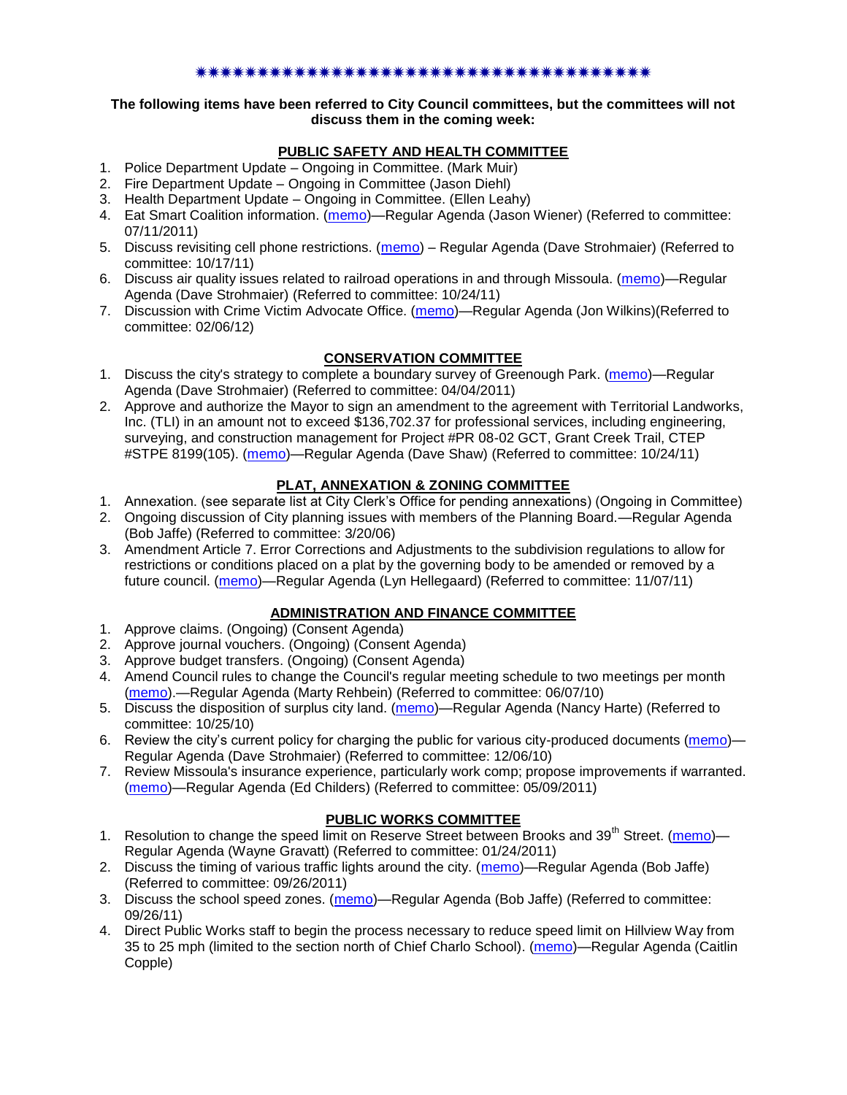## \*\*\*\*\*\*\*\*\*\*\*\*\*\*\*\*\*\*\*\*\*\*\*\*\*\*

#### **The following items have been referred to City Council committees, but the committees will not discuss them in the coming week:**

## **PUBLIC SAFETY AND HEALTH COMMITTEE**

- 1. Police Department Update Ongoing in Committee. (Mark Muir)
- 2. Fire Department Update Ongoing in Committee (Jason Diehl)
- 3. Health Department Update Ongoing in Committee. (Ellen Leahy)
- 4. Eat Smart Coalition information. [\(memo\)](http://www.ci.missoula.mt.us/DocumentView.aspx?DID=6776)—Regular Agenda (Jason Wiener) (Referred to committee: 07/11/2011)
- 5. Discuss revisiting cell phone restrictions. [\(memo\)](http://www.ci.missoula.mt.us/DocumentView.aspx?DID=7420) Regular Agenda (Dave Strohmaier) (Referred to committee: 10/17/11)
- 6. Discuss air quality issues related to railroad operations in and through Missoula. [\(memo\)](http://www.ci.missoula.mt.us/DocumentView.aspx?DID=7495)—Regular Agenda (Dave Strohmaier) (Referred to committee: 10/24/11)
- 7. Discussion with Crime Victim Advocate Office. [\(memo\)](http://www.ci.missoula.mt.us/DocumentView.aspx?DID=8109)—Regular Agenda (Jon Wilkins)(Referred to committee: 02/06/12)

## **CONSERVATION COMMITTEE**

- 1. Discuss the city's strategy to complete a boundary survey of Greenough Park. [\(memo\)](http://www.ci.missoula.mt.us/DocumentView.aspx?DID=5875)—Regular Agenda (Dave Strohmaier) (Referred to committee: 04/04/2011)
- 2. Approve and authorize the Mayor to sign an amendment to the agreement with Territorial Landworks, Inc. (TLI) in an amount not to exceed \$136,702.37 for professional services, including engineering, surveying, and construction management for Project #PR 08-02 GCT, Grant Creek Trail, CTEP #STPE 8199(105). [\(memo\)](http://www.ci.missoula.mt.us/DocumentView.aspx?DID=7494)—Regular Agenda (Dave Shaw) (Referred to committee: 10/24/11)

## **PLAT, ANNEXATION & ZONING COMMITTEE**

- 1. Annexation. (see separate list at City Clerk's Office for pending annexations) (Ongoing in Committee)
- 2. Ongoing discussion of City planning issues with members of the Planning Board.—Regular Agenda (Bob Jaffe) (Referred to committee: 3/20/06)
- 3. Amendment Article 7. Error Corrections and Adjustments to the subdivision regulations to allow for restrictions or conditions placed on a plat by the governing body to be amended or removed by a future council. [\(memo\)](http://www.ci.missoula.mt.us/DocumentView.aspx?DID=7568)—Regular Agenda (Lyn Hellegaard) (Referred to committee: 11/07/11)

## **ADMINISTRATION AND FINANCE COMMITTEE**

- 1. Approve claims. (Ongoing) (Consent Agenda)
- 2. Approve journal vouchers. (Ongoing) (Consent Agenda)
- 3. Approve budget transfers. (Ongoing) (Consent Agenda)
- 4. Amend Council rules to change the Council's regular meeting schedule to two meetings per month [\(memo\)](http://www.ci.missoula.mt.us/DocumentView.aspx?DID=4027).—Regular Agenda (Marty Rehbein) (Referred to committee: 06/07/10)
- 5. Discuss the disposition of surplus city land. [\(memo\)](http://www.ci.missoula.mt.us/DocumentView.aspx?DID=4862)—Regular Agenda (Nancy Harte) (Referred to committee: 10/25/10)
- 6. Review the city's current policy for charging the public for various city-produced documents [\(memo\)](http://www.ci.missoula.mt.us/DocumentView.aspx?DID=5143) Regular Agenda (Dave Strohmaier) (Referred to committee: 12/06/10)
- 7. Review Missoula's insurance experience, particularly work comp; propose improvements if warranted. [\(memo\)](http://www.ci.missoula.mt.us/DocumentView.aspx?DID=6381)—Regular Agenda (Ed Childers) (Referred to committee: 05/09/2011)

## **PUBLIC WORKS COMMITTEE**

- 1. Resolution to change the speed limit on Reserve Street between Brooks and  $39<sup>th</sup>$  Street. [\(memo\)](http://www.ci.missoula.mt.us/DocumentView.aspx?DID=5418) Regular Agenda (Wayne Gravatt) (Referred to committee: 01/24/2011)
- 2. Discuss the timing of various traffic lights around the city. [\(memo\)](http://www.ci.missoula.mt.us/DocumentView.aspx?DID=7322)—Regular Agenda (Bob Jaffe) (Referred to committee: 09/26/2011)
- 3. Discuss the school speed zones. [\(memo\)](http://www.ci.missoula.mt.us/DocumentView.aspx?DID=7321)—Regular Agenda (Bob Jaffe) (Referred to committee: 09/26/11)
- 4. Direct Public Works staff to begin the process necessary to reduce speed limit on Hillview Way from 35 to 25 mph (limited to the section north of Chief Charlo School). [\(memo\)](http://www.ci.missoula.mt.us/DocumentView.aspx?DID=8490)—Regular Agenda (Caitlin Copple)